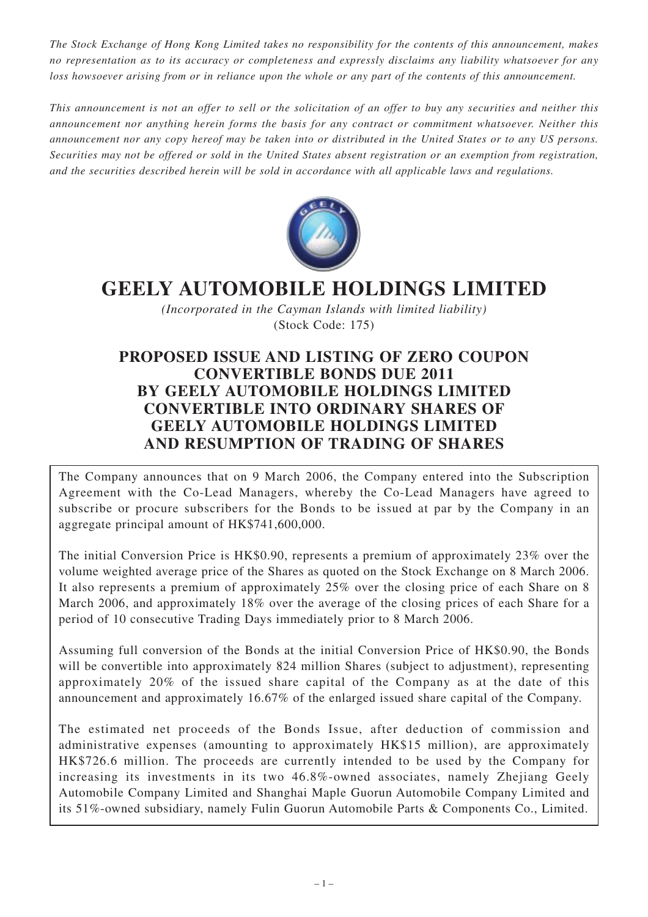*The Stock Exchange of Hong Kong Limited takes no responsibility for the contents of this announcement, makes no representation as to its accuracy or completeness and expressly disclaims any liability whatsoever for any loss howsoever arising from or in reliance upon the whole or any part of the contents of this announcement.*

*This announcement is not an offer to sell or the solicitation of an offer to buy any securities and neither this announcement nor anything herein forms the basis for any contract or commitment whatsoever. Neither this announcement nor any copy hereof may be taken into or distributed in the United States or to any US persons. Securities may not be offered or sold in the United States absent registration or an exemption from registration, and the securities described herein will be sold in accordance with all applicable laws and regulations.*



# **GEELY AUTOMOBILE HOLDINGS LIMITED**

*(Incorporated in the Cayman Islands with limited liability)* (Stock Code: 175)

## **PROPOSED ISSUE AND LISTING OF ZERO COUPON CONVERTIBLE BONDS DUE 2011 BY GEELY AUTOMOBILE HOLDINGS LIMITED CONVERTIBLE INTO ORDINARY SHARES OF GEELY AUTOMOBILE HOLDINGS LIMITED AND RESUMPTION OF TRADING OF SHARES**

The Company announces that on 9 March 2006, the Company entered into the Subscription Agreement with the Co-Lead Managers, whereby the Co-Lead Managers have agreed to subscribe or procure subscribers for the Bonds to be issued at par by the Company in an aggregate principal amount of HK\$741,600,000.

The initial Conversion Price is HK\$0.90, represents a premium of approximately 23% over the volume weighted average price of the Shares as quoted on the Stock Exchange on 8 March 2006. It also represents a premium of approximately 25% over the closing price of each Share on 8 March 2006, and approximately 18% over the average of the closing prices of each Share for a period of 10 consecutive Trading Days immediately prior to 8 March 2006.

Assuming full conversion of the Bonds at the initial Conversion Price of HK\$0.90, the Bonds will be convertible into approximately 824 million Shares (subject to adjustment), representing approximately 20% of the issued share capital of the Company as at the date of this announcement and approximately 16.67% of the enlarged issued share capital of the Company.

The estimated net proceeds of the Bonds Issue, after deduction of commission and administrative expenses (amounting to approximately HK\$15 million), are approximately HK\$726.6 million. The proceeds are currently intended to be used by the Company for increasing its investments in its two 46.8%-owned associates, namely Zhejiang Geely Automobile Company Limited and Shanghai Maple Guorun Automobile Company Limited and its 51%-owned subsidiary, namely Fulin Guorun Automobile Parts & Components Co., Limited.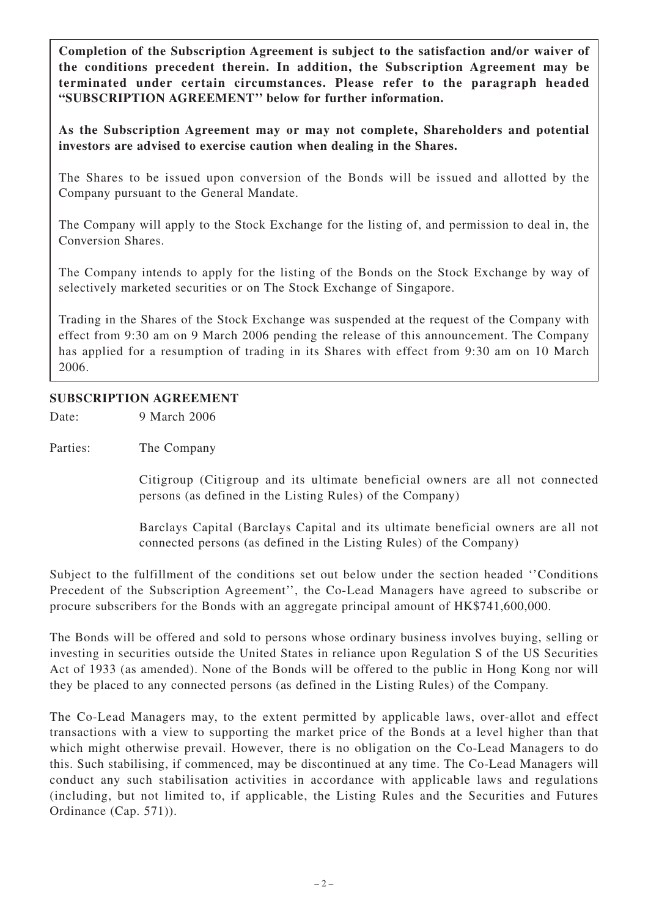**Completion of the Subscription Agreement is subject to the satisfaction and/or waiver of the conditions precedent therein. In addition, the Subscription Agreement may be terminated under certain circumstances. Please refer to the paragraph headed "SUBSCRIPTION AGREEMENT'' below for further information.**

**As the Subscription Agreement may or may not complete, Shareholders and potential investors are advised to exercise caution when dealing in the Shares.**

The Shares to be issued upon conversion of the Bonds will be issued and allotted by the Company pursuant to the General Mandate.

The Company will apply to the Stock Exchange for the listing of, and permission to deal in, the Conversion Shares.

The Company intends to apply for the listing of the Bonds on the Stock Exchange by way of selectively marketed securities or on The Stock Exchange of Singapore.

Trading in the Shares of the Stock Exchange was suspended at the request of the Company with effect from 9:30 am on 9 March 2006 pending the release of this announcement. The Company has applied for a resumption of trading in its Shares with effect from 9:30 am on 10 March 2006.

## **SUBSCRIPTION AGREEMENT**

Date: 9 March 2006

Parties: The Company

Citigroup (Citigroup and its ultimate beneficial owners are all not connected persons (as defined in the Listing Rules) of the Company)

Barclays Capital (Barclays Capital and its ultimate beneficial owners are all not connected persons (as defined in the Listing Rules) of the Company)

Subject to the fulfillment of the conditions set out below under the section headed ''Conditions Precedent of the Subscription Agreement'', the Co-Lead Managers have agreed to subscribe or procure subscribers for the Bonds with an aggregate principal amount of HK\$741,600,000.

The Bonds will be offered and sold to persons whose ordinary business involves buying, selling or investing in securities outside the United States in reliance upon Regulation S of the US Securities Act of 1933 (as amended). None of the Bonds will be offered to the public in Hong Kong nor will they be placed to any connected persons (as defined in the Listing Rules) of the Company.

The Co-Lead Managers may, to the extent permitted by applicable laws, over-allot and effect transactions with a view to supporting the market price of the Bonds at a level higher than that which might otherwise prevail. However, there is no obligation on the Co-Lead Managers to do this. Such stabilising, if commenced, may be discontinued at any time. The Co-Lead Managers will conduct any such stabilisation activities in accordance with applicable laws and regulations (including, but not limited to, if applicable, the Listing Rules and the Securities and Futures Ordinance (Cap. 571)).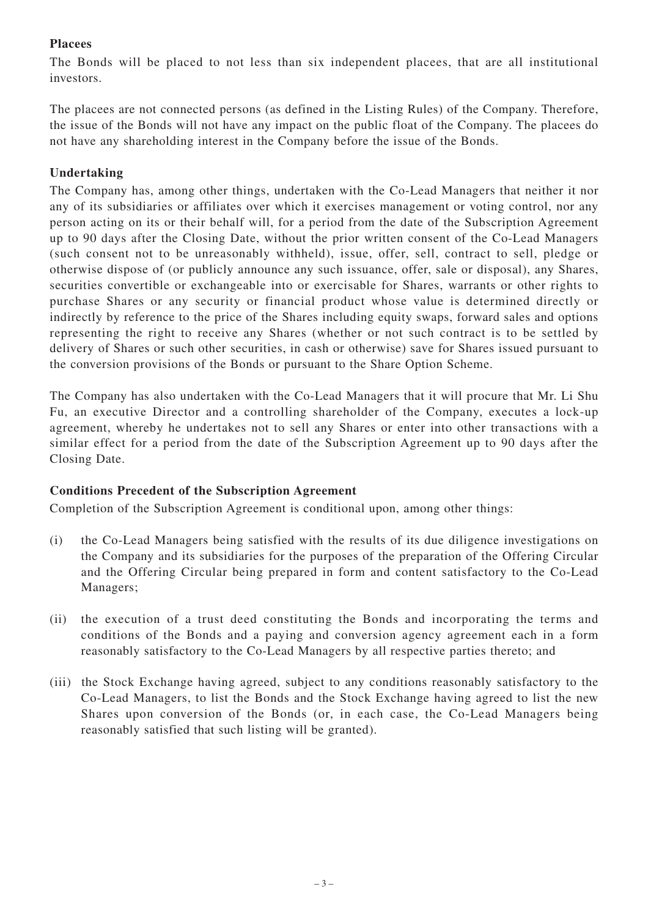## **Placees**

The Bonds will be placed to not less than six independent placees, that are all institutional investors.

The placees are not connected persons (as defined in the Listing Rules) of the Company. Therefore, the issue of the Bonds will not have any impact on the public float of the Company. The placees do not have any shareholding interest in the Company before the issue of the Bonds.

## **Undertaking**

The Company has, among other things, undertaken with the Co-Lead Managers that neither it nor any of its subsidiaries or affiliates over which it exercises management or voting control, nor any person acting on its or their behalf will, for a period from the date of the Subscription Agreement up to 90 days after the Closing Date, without the prior written consent of the Co-Lead Managers (such consent not to be unreasonably withheld), issue, offer, sell, contract to sell, pledge or otherwise dispose of (or publicly announce any such issuance, offer, sale or disposal), any Shares, securities convertible or exchangeable into or exercisable for Shares, warrants or other rights to purchase Shares or any security or financial product whose value is determined directly or indirectly by reference to the price of the Shares including equity swaps, forward sales and options representing the right to receive any Shares (whether or not such contract is to be settled by delivery of Shares or such other securities, in cash or otherwise) save for Shares issued pursuant to the conversion provisions of the Bonds or pursuant to the Share Option Scheme.

The Company has also undertaken with the Co-Lead Managers that it will procure that Mr. Li Shu Fu, an executive Director and a controlling shareholder of the Company, executes a lock-up agreement, whereby he undertakes not to sell any Shares or enter into other transactions with a similar effect for a period from the date of the Subscription Agreement up to 90 days after the Closing Date.

## **Conditions Precedent of the Subscription Agreement**

Completion of the Subscription Agreement is conditional upon, among other things:

- (i) the Co-Lead Managers being satisfied with the results of its due diligence investigations on the Company and its subsidiaries for the purposes of the preparation of the Offering Circular and the Offering Circular being prepared in form and content satisfactory to the Co-Lead Managers;
- (ii) the execution of a trust deed constituting the Bonds and incorporating the terms and conditions of the Bonds and a paying and conversion agency agreement each in a form reasonably satisfactory to the Co-Lead Managers by all respective parties thereto; and
- (iii) the Stock Exchange having agreed, subject to any conditions reasonably satisfactory to the Co-Lead Managers, to list the Bonds and the Stock Exchange having agreed to list the new Shares upon conversion of the Bonds (or, in each case, the Co-Lead Managers being reasonably satisfied that such listing will be granted).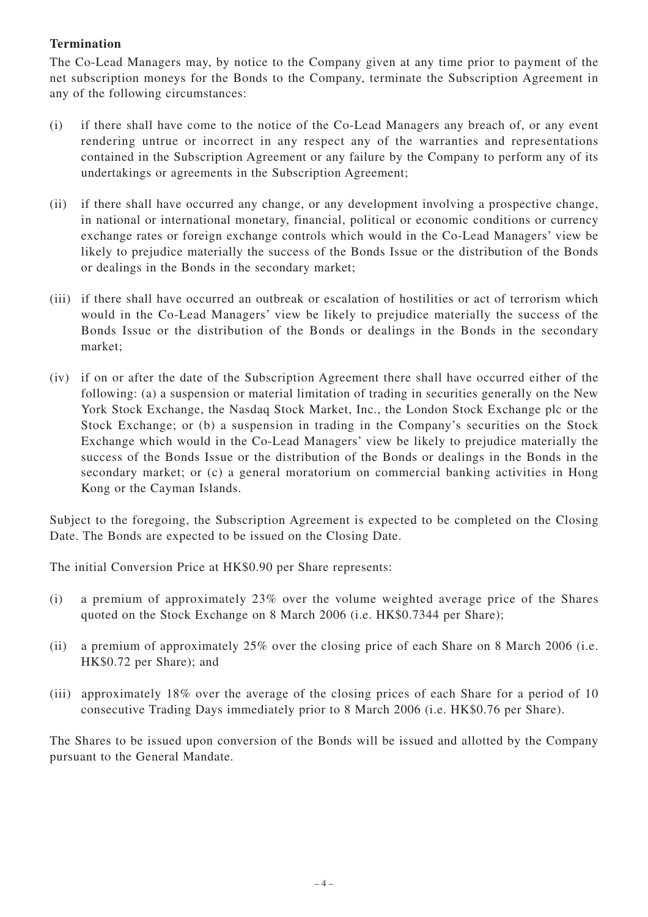## **Termination**

The Co-Lead Managers may, by notice to the Company given at any time prior to payment of the net subscription moneys for the Bonds to the Company, terminate the Subscription Agreement in any of the following circumstances:

- (i) if there shall have come to the notice of the Co-Lead Managers any breach of, or any event rendering untrue or incorrect in any respect any of the warranties and representations contained in the Subscription Agreement or any failure by the Company to perform any of its undertakings or agreements in the Subscription Agreement;
- (ii) if there shall have occurred any change, or any development involving a prospective change, in national or international monetary, financial, political or economic conditions or currency exchange rates or foreign exchange controls which would in the Co-Lead Managers' view be likely to prejudice materially the success of the Bonds Issue or the distribution of the Bonds or dealings in the Bonds in the secondary market;
- (iii) if there shall have occurred an outbreak or escalation of hostilities or act of terrorism which would in the Co-Lead Managers' view be likely to prejudice materially the success of the Bonds Issue or the distribution of the Bonds or dealings in the Bonds in the secondary market;
- (iv) if on or after the date of the Subscription Agreement there shall have occurred either of the following: (a) a suspension or material limitation of trading in securities generally on the New York Stock Exchange, the Nasdaq Stock Market, Inc., the London Stock Exchange plc or the Stock Exchange; or (b) a suspension in trading in the Company's securities on the Stock Exchange which would in the Co-Lead Managers' view be likely to prejudice materially the success of the Bonds Issue or the distribution of the Bonds or dealings in the Bonds in the secondary market; or (c) a general moratorium on commercial banking activities in Hong Kong or the Cayman Islands.

Subject to the foregoing, the Subscription Agreement is expected to be completed on the Closing Date. The Bonds are expected to be issued on the Closing Date.

The initial Conversion Price at HK\$0.90 per Share represents:

- (i) a premium of approximately 23% over the volume weighted average price of the Shares quoted on the Stock Exchange on 8 March 2006 (i.e. HK\$0.7344 per Share);
- (ii) a premium of approximately 25% over the closing price of each Share on 8 March 2006 (i.e. HK\$0.72 per Share); and
- (iii) approximately 18% over the average of the closing prices of each Share for a period of 10 consecutive Trading Days immediately prior to 8 March 2006 (i.e. HK\$0.76 per Share).

The Shares to be issued upon conversion of the Bonds will be issued and allotted by the Company pursuant to the General Mandate.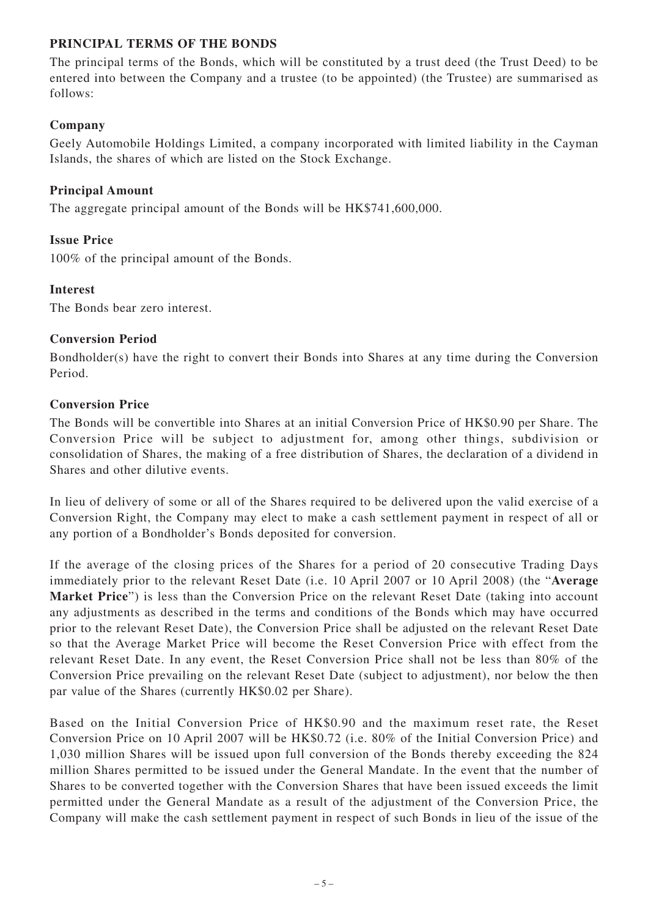## **PRINCIPAL TERMS OF THE BONDS**

The principal terms of the Bonds, which will be constituted by a trust deed (the Trust Deed) to be entered into between the Company and a trustee (to be appointed) (the Trustee) are summarised as follows:

## **Company**

Geely Automobile Holdings Limited, a company incorporated with limited liability in the Cayman Islands, the shares of which are listed on the Stock Exchange.

## **Principal Amount**

The aggregate principal amount of the Bonds will be HK\$741,600,000.

## **Issue Price**

100% of the principal amount of the Bonds.

## **Interest**

The Bonds bear zero interest.

## **Conversion Period**

Bondholder(s) have the right to convert their Bonds into Shares at any time during the Conversion Period.

## **Conversion Price**

The Bonds will be convertible into Shares at an initial Conversion Price of HK\$0.90 per Share. The Conversion Price will be subject to adjustment for, among other things, subdivision or consolidation of Shares, the making of a free distribution of Shares, the declaration of a dividend in Shares and other dilutive events.

In lieu of delivery of some or all of the Shares required to be delivered upon the valid exercise of a Conversion Right, the Company may elect to make a cash settlement payment in respect of all or any portion of a Bondholder's Bonds deposited for conversion.

If the average of the closing prices of the Shares for a period of 20 consecutive Trading Days immediately prior to the relevant Reset Date (i.e. 10 April 2007 or 10 April 2008) (the "**Average Market Price**") is less than the Conversion Price on the relevant Reset Date (taking into account any adjustments as described in the terms and conditions of the Bonds which may have occurred prior to the relevant Reset Date), the Conversion Price shall be adjusted on the relevant Reset Date so that the Average Market Price will become the Reset Conversion Price with effect from the relevant Reset Date. In any event, the Reset Conversion Price shall not be less than 80% of the Conversion Price prevailing on the relevant Reset Date (subject to adjustment), nor below the then par value of the Shares (currently HK\$0.02 per Share).

Based on the Initial Conversion Price of HK\$0.90 and the maximum reset rate, the Reset Conversion Price on 10 April 2007 will be HK\$0.72 (i.e. 80% of the Initial Conversion Price) and 1,030 million Shares will be issued upon full conversion of the Bonds thereby exceeding the 824 million Shares permitted to be issued under the General Mandate. In the event that the number of Shares to be converted together with the Conversion Shares that have been issued exceeds the limit permitted under the General Mandate as a result of the adjustment of the Conversion Price, the Company will make the cash settlement payment in respect of such Bonds in lieu of the issue of the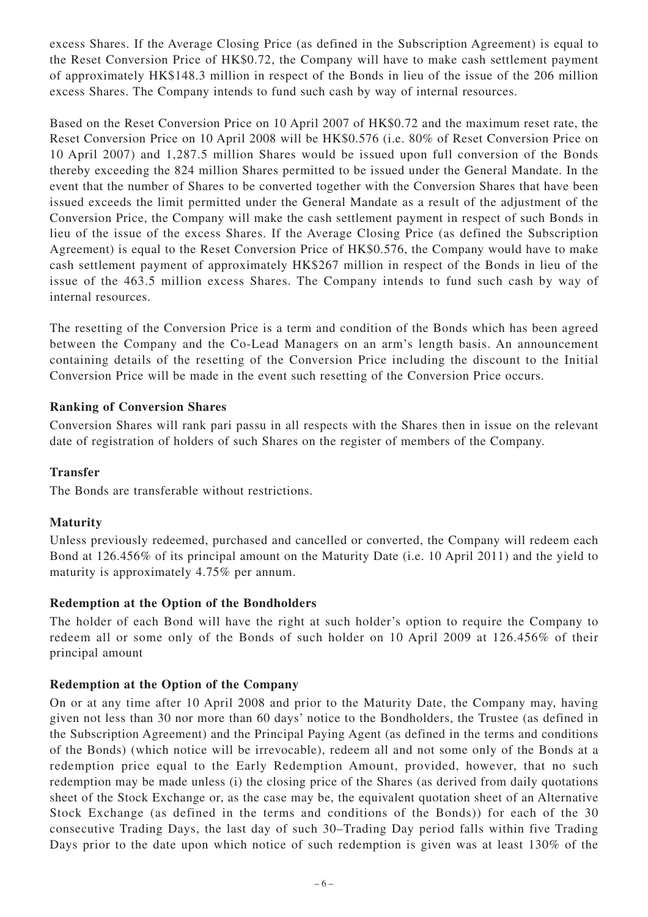excess Shares. If the Average Closing Price (as defined in the Subscription Agreement) is equal to the Reset Conversion Price of HK\$0.72, the Company will have to make cash settlement payment of approximately HK\$148.3 million in respect of the Bonds in lieu of the issue of the 206 million excess Shares. The Company intends to fund such cash by way of internal resources.

Based on the Reset Conversion Price on 10 April 2007 of HK\$0.72 and the maximum reset rate, the Reset Conversion Price on 10 April 2008 will be HK\$0.576 (i.e. 80% of Reset Conversion Price on 10 April 2007) and 1,287.5 million Shares would be issued upon full conversion of the Bonds thereby exceeding the 824 million Shares permitted to be issued under the General Mandate. In the event that the number of Shares to be converted together with the Conversion Shares that have been issued exceeds the limit permitted under the General Mandate as a result of the adjustment of the Conversion Price, the Company will make the cash settlement payment in respect of such Bonds in lieu of the issue of the excess Shares. If the Average Closing Price (as defined the Subscription Agreement) is equal to the Reset Conversion Price of HK\$0.576, the Company would have to make cash settlement payment of approximately HK\$267 million in respect of the Bonds in lieu of the issue of the 463.5 million excess Shares. The Company intends to fund such cash by way of internal resources.

The resetting of the Conversion Price is a term and condition of the Bonds which has been agreed between the Company and the Co-Lead Managers on an arm's length basis. An announcement containing details of the resetting of the Conversion Price including the discount to the Initial Conversion Price will be made in the event such resetting of the Conversion Price occurs.

## **Ranking of Conversion Shares**

Conversion Shares will rank pari passu in all respects with the Shares then in issue on the relevant date of registration of holders of such Shares on the register of members of the Company.

#### **Transfer**

The Bonds are transferable without restrictions.

## **Maturity**

Unless previously redeemed, purchased and cancelled or converted, the Company will redeem each Bond at 126.456% of its principal amount on the Maturity Date (i.e. 10 April 2011) and the yield to maturity is approximately 4.75% per annum.

#### **Redemption at the Option of the Bondholders**

The holder of each Bond will have the right at such holder's option to require the Company to redeem all or some only of the Bonds of such holder on 10 April 2009 at 126.456% of their principal amount

#### **Redemption at the Option of the Company**

On or at any time after 10 April 2008 and prior to the Maturity Date, the Company may, having given not less than 30 nor more than 60 days' notice to the Bondholders, the Trustee (as defined in the Subscription Agreement) and the Principal Paying Agent (as defined in the terms and conditions of the Bonds) (which notice will be irrevocable), redeem all and not some only of the Bonds at a redemption price equal to the Early Redemption Amount, provided, however, that no such redemption may be made unless (i) the closing price of the Shares (as derived from daily quotations sheet of the Stock Exchange or, as the case may be, the equivalent quotation sheet of an Alternative Stock Exchange (as defined in the terms and conditions of the Bonds)) for each of the 30 consecutive Trading Days, the last day of such 30–Trading Day period falls within five Trading Days prior to the date upon which notice of such redemption is given was at least 130% of the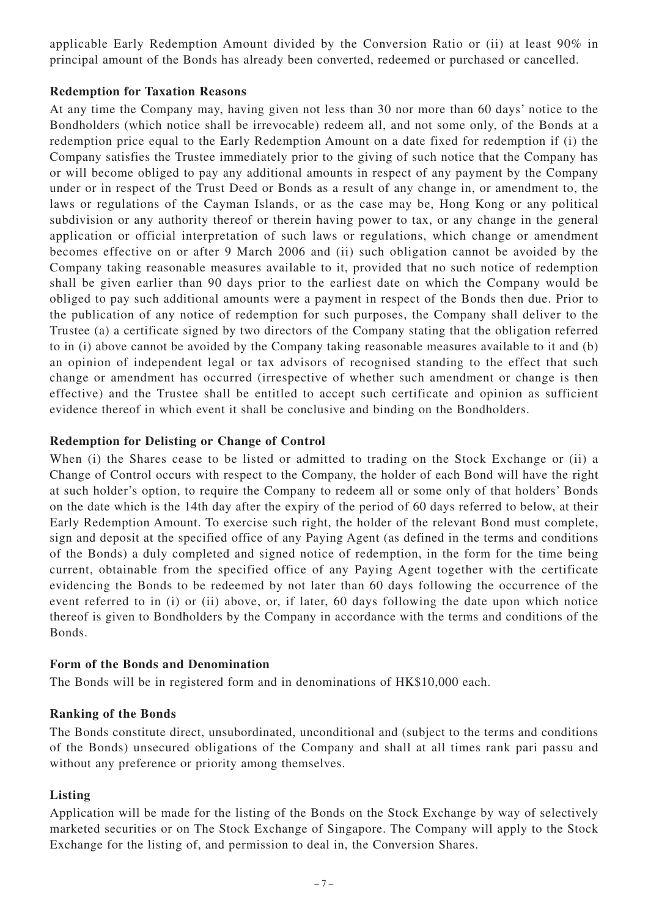applicable Early Redemption Amount divided by the Conversion Ratio or (ii) at least 90% in principal amount of the Bonds has already been converted, redeemed or purchased or cancelled.

#### **Redemption for Taxation Reasons**

At any time the Company may, having given not less than 30 nor more than 60 days' notice to the Bondholders (which notice shall be irrevocable) redeem all, and not some only, of the Bonds at a redemption price equal to the Early Redemption Amount on a date fixed for redemption if (i) the Company satisfies the Trustee immediately prior to the giving of such notice that the Company has or will become obliged to pay any additional amounts in respect of any payment by the Company under or in respect of the Trust Deed or Bonds as a result of any change in, or amendment to, the laws or regulations of the Cayman Islands, or as the case may be, Hong Kong or any political subdivision or any authority thereof or therein having power to tax, or any change in the general application or official interpretation of such laws or regulations, which change or amendment becomes effective on or after 9 March 2006 and (ii) such obligation cannot be avoided by the Company taking reasonable measures available to it, provided that no such notice of redemption shall be given earlier than 90 days prior to the earliest date on which the Company would be obliged to pay such additional amounts were a payment in respect of the Bonds then due. Prior to the publication of any notice of redemption for such purposes, the Company shall deliver to the Trustee (a) a certificate signed by two directors of the Company stating that the obligation referred to in (i) above cannot be avoided by the Company taking reasonable measures available to it and (b) an opinion of independent legal or tax advisors of recognised standing to the effect that such change or amendment has occurred (irrespective of whether such amendment or change is then effective) and the Trustee shall be entitled to accept such certificate and opinion as sufficient evidence thereof in which event it shall be conclusive and binding on the Bondholders.

## **Redemption for Delisting or Change of Control**

When (i) the Shares cease to be listed or admitted to trading on the Stock Exchange or (ii) a Change of Control occurs with respect to the Company, the holder of each Bond will have the right at such holder's option, to require the Company to redeem all or some only of that holders' Bonds on the date which is the 14th day after the expiry of the period of 60 days referred to below, at their Early Redemption Amount. To exercise such right, the holder of the relevant Bond must complete, sign and deposit at the specified office of any Paying Agent (as defined in the terms and conditions of the Bonds) a duly completed and signed notice of redemption, in the form for the time being current, obtainable from the specified office of any Paying Agent together with the certificate evidencing the Bonds to be redeemed by not later than 60 days following the occurrence of the event referred to in (i) or (ii) above, or, if later, 60 days following the date upon which notice thereof is given to Bondholders by the Company in accordance with the terms and conditions of the Bonds.

#### **Form of the Bonds and Denomination**

The Bonds will be in registered form and in denominations of HK\$10,000 each.

#### **Ranking of the Bonds**

The Bonds constitute direct, unsubordinated, unconditional and (subject to the terms and conditions of the Bonds) unsecured obligations of the Company and shall at all times rank pari passu and without any preference or priority among themselves.

#### **Listing**

Application will be made for the listing of the Bonds on the Stock Exchange by way of selectively marketed securities or on The Stock Exchange of Singapore. The Company will apply to the Stock Exchange for the listing of, and permission to deal in, the Conversion Shares.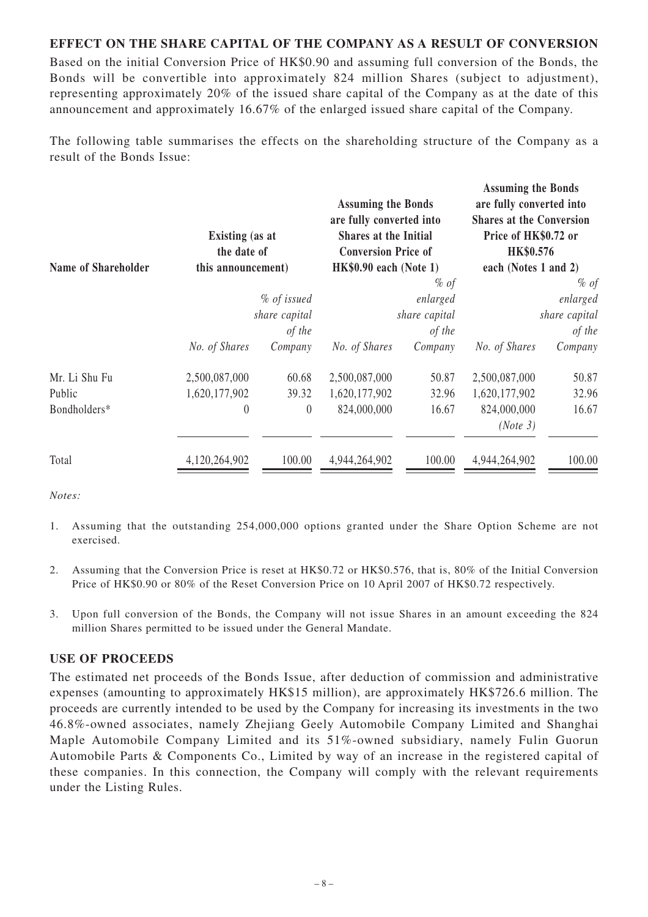## **EFFECT ON THE SHARE CAPITAL OF THE COMPANY AS A RESULT OF CONVERSION**

Based on the initial Conversion Price of HK\$0.90 and assuming full conversion of the Bonds, the Bonds will be convertible into approximately 824 million Shares (subject to adjustment), representing approximately 20% of the issued share capital of the Company as at the date of this announcement and approximately 16.67% of the enlarged issued share capital of the Company.

The following table summarises the effects on the shareholding structure of the Company as a result of the Bonds Issue:

| <b>Existing</b> (as at<br>the date of<br><b>Name of Shareholder</b><br>this announcement) |                | <b>Assuming the Bonds</b><br>are fully converted into<br>Shares at the Initial<br><b>Conversion Price of</b><br>$HK$0.90$ each (Note 1) |        | <b>Assuming the Bonds</b><br>are fully converted into<br><b>Shares at the Conversion</b><br>Price of HK\$0.72 or<br>HK\$0.576<br>each (Notes 1 and 2) |        |               |         |               |         |               |         |
|-------------------------------------------------------------------------------------------|----------------|-----------------------------------------------------------------------------------------------------------------------------------------|--------|-------------------------------------------------------------------------------------------------------------------------------------------------------|--------|---------------|---------|---------------|---------|---------------|---------|
|                                                                                           |                |                                                                                                                                         | $%$ of |                                                                                                                                                       | $%$ of |               |         |               |         |               |         |
| % of issued<br>share capital<br>of the                                                    |                | enlarged<br>share capital<br>of the                                                                                                     |        | enlarged<br>share capital<br>of the                                                                                                                   |        |               |         |               |         |               |         |
|                                                                                           |                |                                                                                                                                         |        |                                                                                                                                                       |        | No. of Shares | Company | No. of Shares | Company | No. of Shares | Company |
|                                                                                           |                |                                                                                                                                         |        |                                                                                                                                                       |        | 2,500,087,000 | 60.68   | 2,500,087,000 | 50.87   | 2,500,087,000 | 50.87   |
| 1,620,177,902                                                                             | 39.32          | 1,620,177,902                                                                                                                           | 32.96  | 1,620,177,902                                                                                                                                         | 32.96  |               |         |               |         |               |         |
| $\theta$                                                                                  | $\overline{0}$ | 824,000,000                                                                                                                             | 16.67  | 824,000,000                                                                                                                                           | 16.67  |               |         |               |         |               |         |
|                                                                                           |                |                                                                                                                                         |        | (Note 3)                                                                                                                                              |        |               |         |               |         |               |         |
| 4,120,264,902                                                                             | 100.00         | 4,944,264,902                                                                                                                           | 100.00 | 4,944,264,902                                                                                                                                         | 100.00 |               |         |               |         |               |         |
|                                                                                           |                |                                                                                                                                         |        |                                                                                                                                                       |        |               |         |               |         |               |         |

*Notes:*

- 1. Assuming that the outstanding 254,000,000 options granted under the Share Option Scheme are not exercised.
- 2. Assuming that the Conversion Price is reset at HK\$0.72 or HK\$0.576, that is, 80% of the Initial Conversion Price of HK\$0.90 or 80% of the Reset Conversion Price on 10 April 2007 of HK\$0.72 respectively.
- 3. Upon full conversion of the Bonds, the Company will not issue Shares in an amount exceeding the 824 million Shares permitted to be issued under the General Mandate.

#### **USE OF PROCEEDS**

The estimated net proceeds of the Bonds Issue, after deduction of commission and administrative expenses (amounting to approximately HK\$15 million), are approximately HK\$726.6 million. The proceeds are currently intended to be used by the Company for increasing its investments in the two 46.8%-owned associates, namely Zhejiang Geely Automobile Company Limited and Shanghai Maple Automobile Company Limited and its 51%-owned subsidiary, namely Fulin Guorun Automobile Parts & Components Co., Limited by way of an increase in the registered capital of these companies. In this connection, the Company will comply with the relevant requirements under the Listing Rules.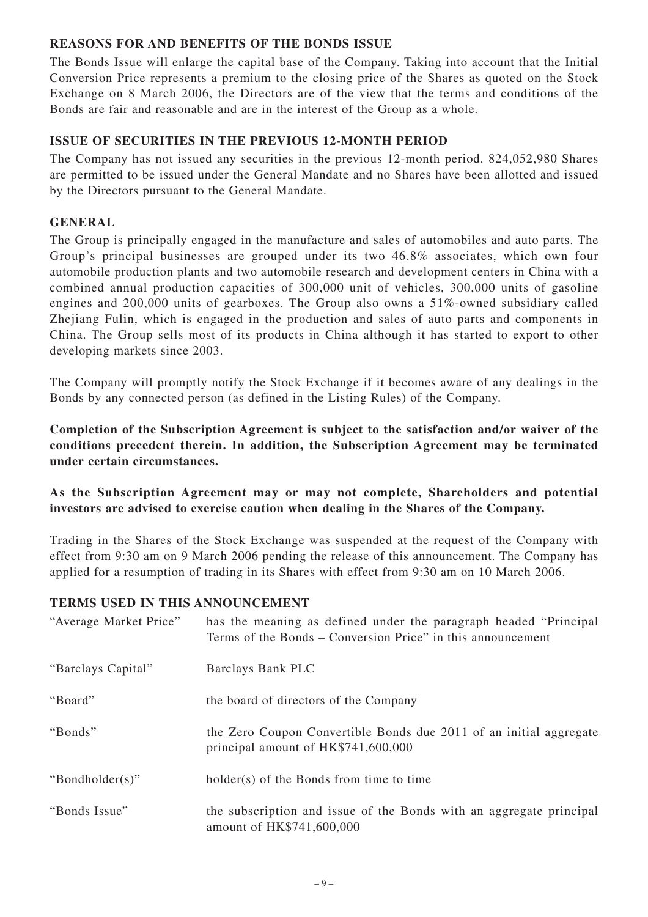## **REASONS FOR AND BENEFITS OF THE BONDS ISSUE**

The Bonds Issue will enlarge the capital base of the Company. Taking into account that the Initial Conversion Price represents a premium to the closing price of the Shares as quoted on the Stock Exchange on 8 March 2006, the Directors are of the view that the terms and conditions of the Bonds are fair and reasonable and are in the interest of the Group as a whole.

## **ISSUE OF SECURITIES IN THE PREVIOUS 12-MONTH PERIOD**

The Company has not issued any securities in the previous 12-month period. 824,052,980 Shares are permitted to be issued under the General Mandate and no Shares have been allotted and issued by the Directors pursuant to the General Mandate.

## **GENERAL**

The Group is principally engaged in the manufacture and sales of automobiles and auto parts. The Group's principal businesses are grouped under its two 46.8% associates, which own four automobile production plants and two automobile research and development centers in China with a combined annual production capacities of 300,000 unit of vehicles, 300,000 units of gasoline engines and 200,000 units of gearboxes. The Group also owns a 51%-owned subsidiary called Zhejiang Fulin, which is engaged in the production and sales of auto parts and components in China. The Group sells most of its products in China although it has started to export to other developing markets since 2003.

The Company will promptly notify the Stock Exchange if it becomes aware of any dealings in the Bonds by any connected person (as defined in the Listing Rules) of the Company.

**Completion of the Subscription Agreement is subject to the satisfaction and/or waiver of the conditions precedent therein. In addition, the Subscription Agreement may be terminated under certain circumstances.**

**As the Subscription Agreement may or may not complete, Shareholders and potential investors are advised to exercise caution when dealing in the Shares of the Company.**

Trading in the Shares of the Stock Exchange was suspended at the request of the Company with effect from 9:30 am on 9 March 2006 pending the release of this announcement. The Company has applied for a resumption of trading in its Shares with effect from 9:30 am on 10 March 2006.

## **TERMS USED IN THIS ANNOUNCEMENT**

| "Average Market Price" | has the meaning as defined under the paragraph headed "Principal"<br>Terms of the Bonds – Conversion Price" in this announcement |
|------------------------|----------------------------------------------------------------------------------------------------------------------------------|
| "Barclays Capital"     | Barclays Bank PLC                                                                                                                |
| "Board"                | the board of directors of the Company                                                                                            |
| "Bonds"                | the Zero Coupon Convertible Bonds due 2011 of an initial aggregate<br>principal amount of HK\$741,600,000                        |
| "Bondholder(s)"        | holder(s) of the Bonds from time to time                                                                                         |
| "Bonds Issue"          | the subscription and issue of the Bonds with an aggregate principal<br>amount of HK\$741,600,000                                 |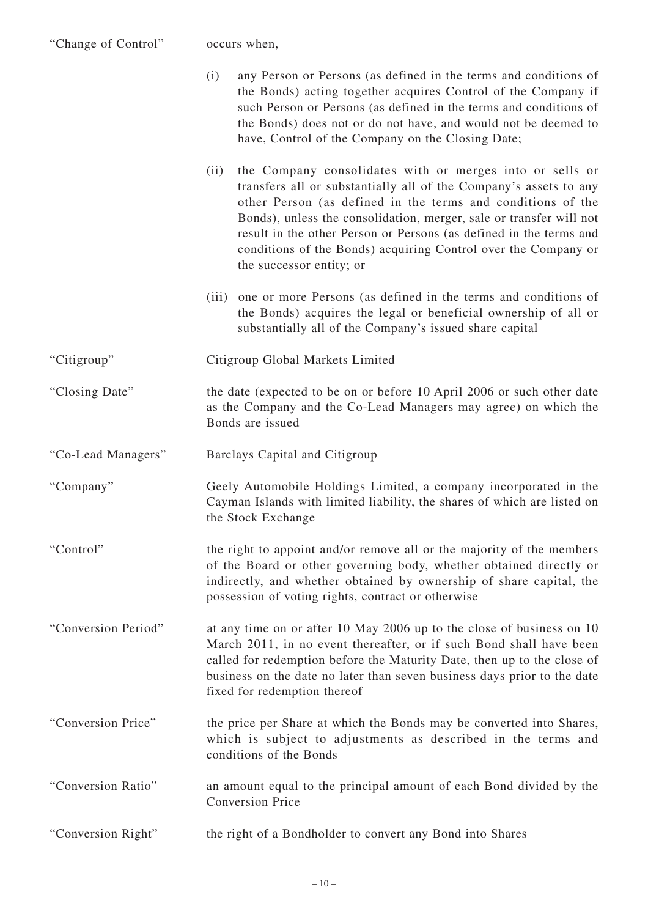| "Change of Control" | occurs when,                                                                                                                                                                                                                                                                                                                                                                                                                                    |
|---------------------|-------------------------------------------------------------------------------------------------------------------------------------------------------------------------------------------------------------------------------------------------------------------------------------------------------------------------------------------------------------------------------------------------------------------------------------------------|
|                     | any Person or Persons (as defined in the terms and conditions of<br>(i)<br>the Bonds) acting together acquires Control of the Company if<br>such Person or Persons (as defined in the terms and conditions of<br>the Bonds) does not or do not have, and would not be deemed to<br>have, Control of the Company on the Closing Date;                                                                                                            |
|                     | the Company consolidates with or merges into or sells or<br>(ii)<br>transfers all or substantially all of the Company's assets to any<br>other Person (as defined in the terms and conditions of the<br>Bonds), unless the consolidation, merger, sale or transfer will not<br>result in the other Person or Persons (as defined in the terms and<br>conditions of the Bonds) acquiring Control over the Company or<br>the successor entity; or |
|                     | (iii) one or more Persons (as defined in the terms and conditions of<br>the Bonds) acquires the legal or beneficial ownership of all or<br>substantially all of the Company's issued share capital                                                                                                                                                                                                                                              |
| "Citigroup"         | Citigroup Global Markets Limited                                                                                                                                                                                                                                                                                                                                                                                                                |
| "Closing Date"      | the date (expected to be on or before 10 April 2006 or such other date<br>as the Company and the Co-Lead Managers may agree) on which the<br>Bonds are issued                                                                                                                                                                                                                                                                                   |
| "Co-Lead Managers"  | Barclays Capital and Citigroup                                                                                                                                                                                                                                                                                                                                                                                                                  |
| "Company"           | Geely Automobile Holdings Limited, a company incorporated in the<br>Cayman Islands with limited liability, the shares of which are listed on<br>the Stock Exchange                                                                                                                                                                                                                                                                              |
| "Control"           | the right to appoint and/or remove all or the majority of the members<br>of the Board or other governing body, whether obtained directly or<br>indirectly, and whether obtained by ownership of share capital, the<br>possession of voting rights, contract or otherwise                                                                                                                                                                        |
| "Conversion Period" | at any time on or after 10 May 2006 up to the close of business on 10<br>March 2011, in no event thereafter, or if such Bond shall have been<br>called for redemption before the Maturity Date, then up to the close of<br>business on the date no later than seven business days prior to the date<br>fixed for redemption thereof                                                                                                             |
| "Conversion Price"  | the price per Share at which the Bonds may be converted into Shares,<br>which is subject to adjustments as described in the terms and<br>conditions of the Bonds                                                                                                                                                                                                                                                                                |

- "Conversion Ratio" an amount equal to the principal amount of each Bond divided by the Conversion Price
- "Conversion Right" the right of a Bondholder to convert any Bond into Shares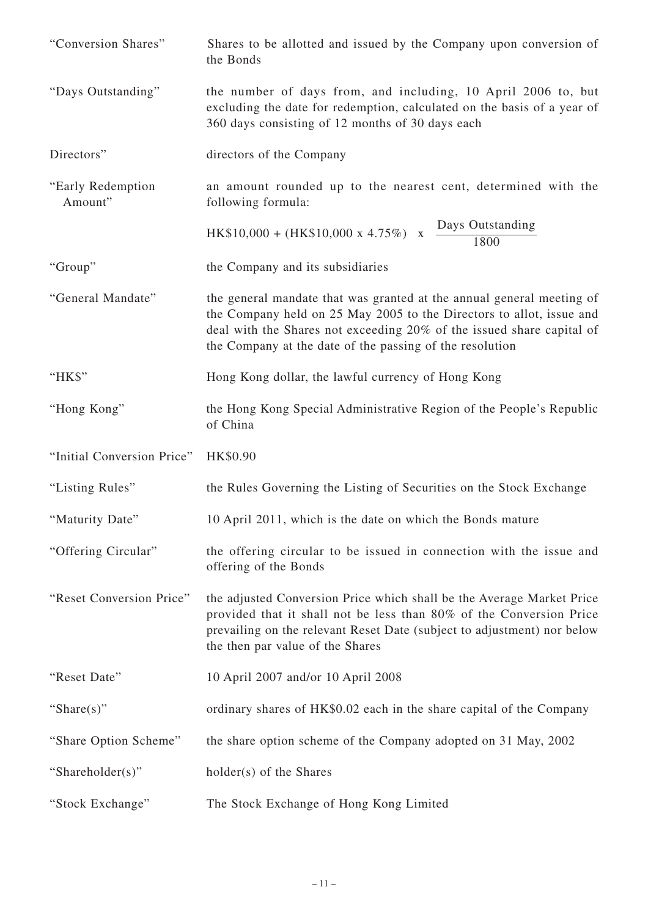- "Conversion Shares" Shares to be allotted and issued by the Company upon conversion of the Bonds
- "Days Outstanding" the number of days from, and including, 10 April 2006 to, but excluding the date for redemption, calculated on the basis of a year of 360 days consisting of 12 months of 30 days each
- Directors" directors of the Company
- "Early Redemption an amount rounded up to the nearest cent, determined with the Amount" following formula:

 $HK$10,000 + (HK$10,000 \text{ x } 4.75\%) \text{ x } \frac{\text{Days Outstanding}}{1800}$ 

- "Group" the Company and its subsidiaries
- "General Mandate" the general mandate that was granted at the annual general meeting of the Company held on 25 May 2005 to the Directors to allot, issue and deal with the Shares not exceeding 20% of the issued share capital of the Company at the date of the passing of the resolution
- "HK\$" Hong Kong dollar, the lawful currency of Hong Kong
- "Hong Kong" the Hong Kong Special Administrative Region of the People's Republic of China
- "Initial Conversion Price" HK\$0.90
- "Listing Rules" the Rules Governing the Listing of Securities on the Stock Exchange
- "Maturity Date" 10 April 2011, which is the date on which the Bonds mature
- "Offering Circular" the offering circular to be issued in connection with the issue and offering of the Bonds
- "Reset Conversion Price" the adjusted Conversion Price which shall be the Average Market Price provided that it shall not be less than 80% of the Conversion Price prevailing on the relevant Reset Date (subject to adjustment) nor below the then par value of the Shares
- "Reset Date" 10 April 2007 and/or 10 April 2008
- "Share(s)" ordinary shares of HK\$0.02 each in the share capital of the Company
- "Share Option Scheme" the share option scheme of the Company adopted on 31 May, 2002
- "Shareholder(s)" holder(s) of the Shares
- "Stock Exchange" The Stock Exchange of Hong Kong Limited